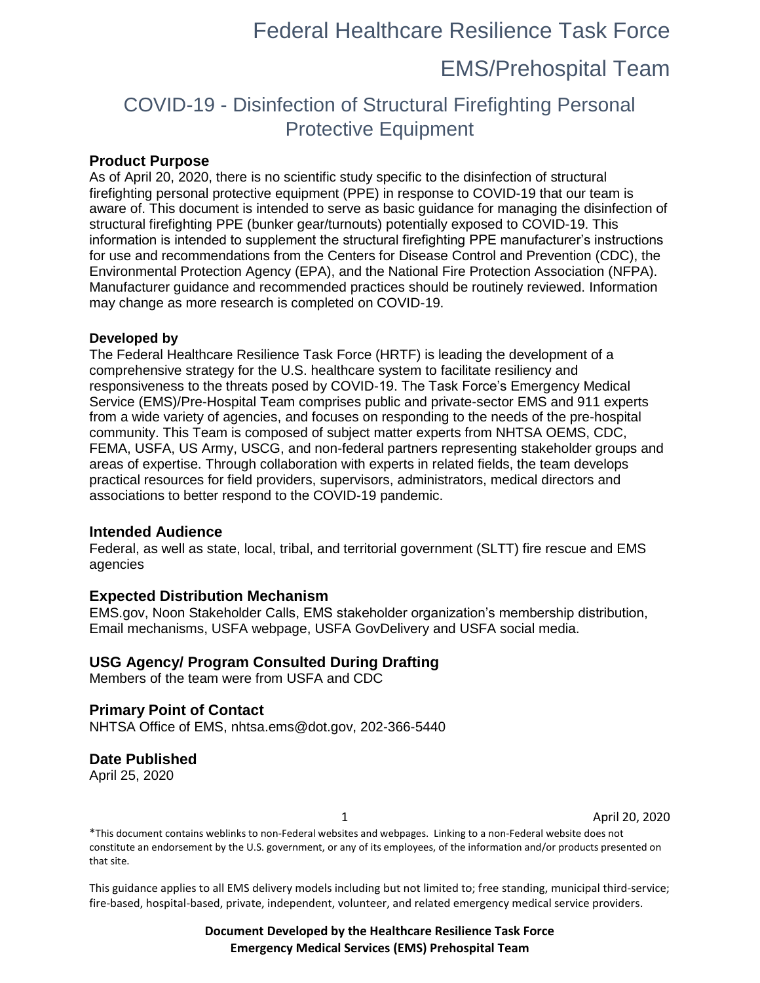# Federal Healthcare Resilience Task Force

## EMS/Prehospital Team

## COVID-19 - Disinfection of Structural Firefighting Personal Protective Equipment

### **Product Purpose**

As of April 20, 2020, there is no scientific study specific to the disinfection of structural firefighting personal protective equipment (PPE) in response to COVID-19 that our team is aware of. This document is intended to serve as basic guidance for managing the disinfection of structural firefighting PPE (bunker gear/turnouts) potentially exposed to COVID-19. This information is intended to supplement the structural firefighting PPE manufacturer's instructions for use and recommendations from the Centers for Disease Control and Prevention (CDC), the Environmental Protection Agency (EPA), and the National Fire Protection Association (NFPA). Manufacturer guidance and recommended practices should be routinely reviewed. Information may change as more research is completed on COVID-19.

#### **Developed by**

The Federal Healthcare Resilience Task Force (HRTF) is leading the development of a comprehensive strategy for the U.S. healthcare system to facilitate resiliency and responsiveness to the threats posed by COVID-19. The Task Force's Emergency Medical Service (EMS)/Pre-Hospital Team comprises public and private-sector EMS and 911 experts from a wide variety of agencies, and focuses on responding to the needs of the pre-hospital community. This Team is composed of subject matter experts from NHTSA OEMS, CDC, FEMA, USFA, US Army, USCG, and non-federal partners representing stakeholder groups and areas of expertise. Through collaboration with experts in related fields, the team develops practical resources for field providers, supervisors, administrators, medical directors and associations to better respond to the COVID-19 pandemic.

### **Intended Audience**

Federal, as well as state, local, tribal, and territorial government (SLTT) fire rescue and EMS agencies

### **Expected Distribution Mechanism**

EMS.gov, Noon Stakeholder Calls, EMS stakeholder organization's membership distribution, Email mechanisms, USFA webpage, USFA GovDelivery and USFA social media.

### **USG Agency/ Program Consulted During Drafting**

Members of the team were from USFA and CDC

### **Primary Point of Contact**

NHTSA Office of EMS, nhtsa.ems@dot.gov, 202-366-5440

### **Date Published**

April 25, 2020

1 April 20, 2020

\*This document contains weblinks to non-Federal websites and webpages. Linking to a non-Federal website does not constitute an endorsement by the U.S. government, or any of its employees, of the information and/or products presented on that site.

This guidance applies to all EMS delivery models including but not limited to; free standing, municipal third-service; fire-based, hospital-based, private, independent, volunteer, and related emergency medical service providers.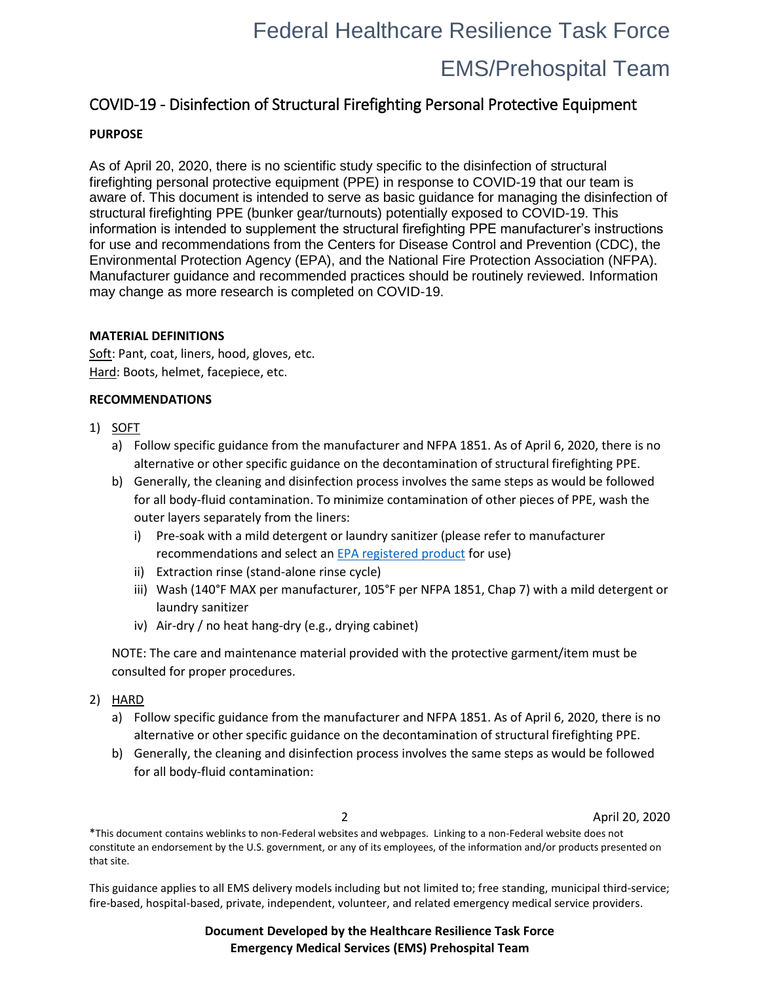# Federal Healthcare Resilience Task Force

# EMS/Prehospital Team

### COVID-19 - Disinfection of Structural Firefighting Personal Protective Equipment

### **PURPOSE**

As of April 20, 2020, there is no scientific study specific to the disinfection of structural firefighting personal protective equipment (PPE) in response to COVID-19 that our team is aware of. This document is intended to serve as basic guidance for managing the disinfection of structural firefighting PPE (bunker gear/turnouts) potentially exposed to COVID-19. This information is intended to supplement the structural firefighting PPE manufacturer's instructions for use and recommendations from the Centers for Disease Control and Prevention (CDC), the Environmental Protection Agency (EPA), and the National Fire Protection Association (NFPA). Manufacturer guidance and recommended practices should be routinely reviewed. Information may change as more research is completed on COVID-19.

### **MATERIAL DEFINITIONS**

Soft: Pant, coat, liners, hood, gloves, etc. Hard: Boots, helmet, facepiece, etc.

### **RECOMMENDATIONS**

- 1) SOFT
	- a) Follow specific guidance from the manufacturer and NFPA 1851. As of April 6, 2020, there is no alternative or other specific guidance on the decontamination of structural firefighting PPE.
	- b) Generally, the cleaning and disinfection process involves the same steps as would be followed for all body-fluid contamination. To minimize contamination of other pieces of PPE, wash the outer layers separately from the liners:
		- i) Pre-soak with a mild detergent or laundry sanitizer (please refer to manufacturer recommendations and select a[n EPA registered product](https://www.epa.gov/pesticide-registration/list-n-disinfectants-use-against-sars-cov-2) for use)
		- ii) Extraction rinse (stand-alone rinse cycle)
		- iii) Wash (140°F MAX per manufacturer, 105°F per NFPA 1851, Chap 7) with a mild detergent or laundry sanitizer
		- iv) Air-dry / no heat hang-dry (e.g., drying cabinet)

NOTE: The care and maintenance material provided with the protective garment/item must be consulted for proper procedures.

- 2) HARD
	- a) Follow specific guidance from the manufacturer and NFPA 1851. As of April 6, 2020, there is no alternative or other specific guidance on the decontamination of structural firefighting PPE.
	- b) Generally, the cleaning and disinfection process involves the same steps as would be followed for all body-fluid contamination:

2 April 20, 2020

\*This document contains weblinks to non-Federal websites and webpages. Linking to a non-Federal website does not constitute an endorsement by the U.S. government, or any of its employees, of the information and/or products presented on that site.

This guidance applies to all EMS delivery models including but not limited to; free standing, municipal third-service; fire-based, hospital-based, private, independent, volunteer, and related emergency medical service providers.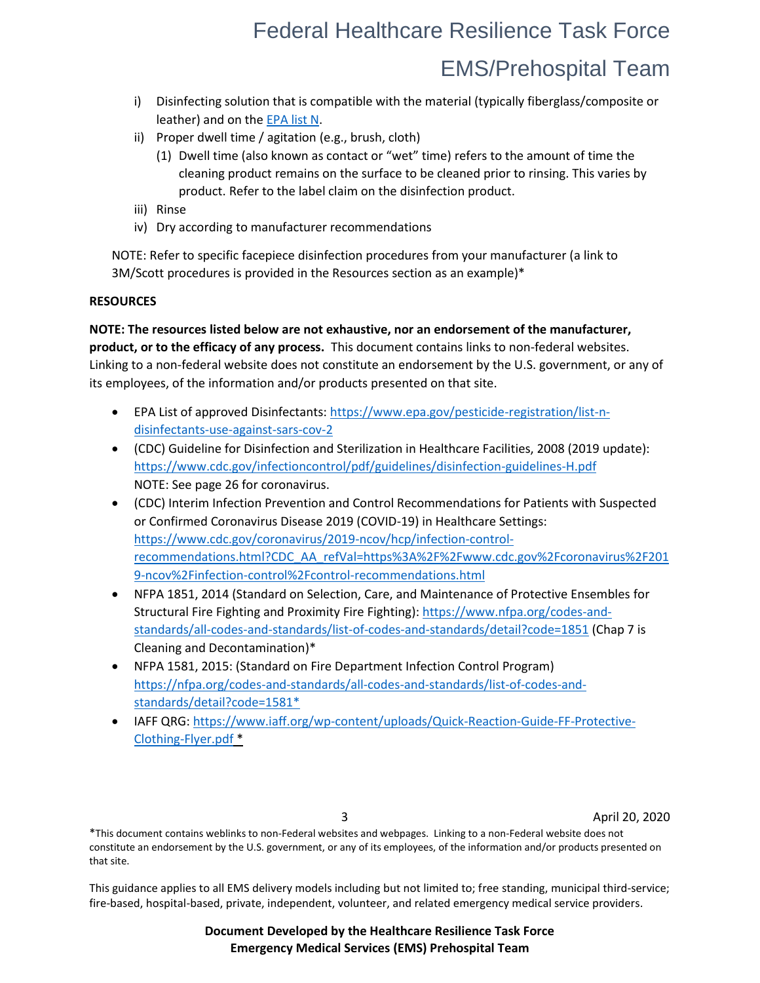# Federal Healthcare Resilience Task Force EMS/Prehospital Team

- i) Disinfecting solution that is compatible with the material (typically fiberglass/composite or leather) and on th[e EPA list N.](https://www.epa.gov/pesticide-registration/list-n-disinfectants-use-against-sars-cov-2)
- ii) Proper dwell time / agitation (e.g., brush, cloth)
	- (1) Dwell time (also known as contact or "wet" time) refers to the amount of time the cleaning product remains on the surface to be cleaned prior to rinsing. This varies by product. Refer to the label claim on the disinfection product.
- iii) Rinse
- iv) Dry according to manufacturer recommendations

NOTE: Refer to specific facepiece disinfection procedures from your manufacturer (a link to 3M/Scott procedures is provided in the Resources section as an example)\*

### **RESOURCES**

**NOTE: The resources listed below are not exhaustive, nor an endorsement of the manufacturer, product, or to the efficacy of any process.** This document contains links to non-federal websites. Linking to a non-federal website does not constitute an endorsement by the U.S. government, or any of its employees, of the information and/or products presented on that site.

- EPA List of approved Disinfectants: [https://www.epa.gov/pesticide-registration/list-n](https://www.epa.gov/pesticide-registration/list-n-disinfectants-use-against-sars-cov-2)[disinfectants-use-against-sars-cov-2](https://www.epa.gov/pesticide-registration/list-n-disinfectants-use-against-sars-cov-2)
- (CDC) Guideline for Disinfection and Sterilization in Healthcare Facilities, 2008 (2019 update): <https://www.cdc.gov/infectioncontrol/pdf/guidelines/disinfection-guidelines-H.pdf> NOTE: See page 26 for coronavirus.
- (CDC) Interim Infection Prevention and Control Recommendations for Patients with Suspected or Confirmed Coronavirus Disease 2019 (COVID-19) in Healthcare Settings: [https://www.cdc.gov/coronavirus/2019-ncov/hcp/infection-control](https://www.cdc.gov/coronavirus/2019-ncov/hcp/infection-control-recommendations.html?CDC_AA_refVal=https%3A%2F%2Fwww.cdc.gov%2Fcoronavirus%2F2019-ncov%2Finfection-control%2Fcontrol-recommendations.html)[recommendations.html?CDC\\_AA\\_refVal=https%3A%2F%2Fwww.cdc.gov%2Fcoronavirus%2F201](https://www.cdc.gov/coronavirus/2019-ncov/hcp/infection-control-recommendations.html?CDC_AA_refVal=https%3A%2F%2Fwww.cdc.gov%2Fcoronavirus%2F2019-ncov%2Finfection-control%2Fcontrol-recommendations.html) [9-ncov%2Finfection-control%2Fcontrol-recommendations.html](https://www.cdc.gov/coronavirus/2019-ncov/hcp/infection-control-recommendations.html?CDC_AA_refVal=https%3A%2F%2Fwww.cdc.gov%2Fcoronavirus%2F2019-ncov%2Finfection-control%2Fcontrol-recommendations.html)
- NFPA 1851, 2014 (Standard on Selection, Care, and Maintenance of Protective Ensembles for Structural Fire Fighting and Proximity Fire Fighting)[: https://www.nfpa.org/codes-and](https://www.nfpa.org/codes-and-standards/all-codes-and-standards/list-of-codes-and-standards/detail?code=1851)[standards/all-codes-and-standards/list-of-codes-and-standards/detail?code=1851](https://www.nfpa.org/codes-and-standards/all-codes-and-standards/list-of-codes-and-standards/detail?code=1851) (Chap 7 is Cleaning and Decontamination)\*
- NFPA 1581, 2015: (Standard on Fire Department Infection Control Program) [https://nfpa.org/codes-and-standards/all-codes-and-standards/list-of-codes-and](https://nfpa.org/codes-and-standards/all-codes-and-standards/list-of-codes-and-standards/detail?code=1581)[standards/detail?code=1581\\*](https://nfpa.org/codes-and-standards/all-codes-and-standards/list-of-codes-and-standards/detail?code=1581)
- IAFF QRG[: https://www.iaff.org/wp-content/uploads/Quick-Reaction-Guide-FF-Protective-](https://www.iaff.org/wp-content/uploads/Quick-Reaction-Guide-FF-Protective-Clothing-Flyer.pdf)[Clothing-Flyer.pdf](https://www.iaff.org/wp-content/uploads/Quick-Reaction-Guide-FF-Protective-Clothing-Flyer.pdf) \*

3 April 20, 2020

\*This document contains weblinks to non-Federal websites and webpages. Linking to a non-Federal website does not constitute an endorsement by the U.S. government, or any of its employees, of the information and/or products presented on that site.

This guidance applies to all EMS delivery models including but not limited to; free standing, municipal third-service; fire-based, hospital-based, private, independent, volunteer, and related emergency medical service providers.